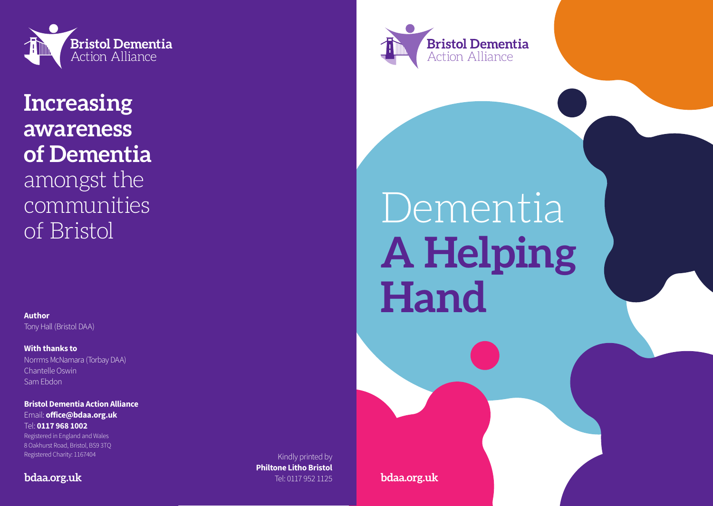

**Increasing awareness of Dementia**  amongst the communities of Bristol

**Author** Tony Hall (Bristol DAA)

**With thanks to** Norrms McNamara (Torbay DAA) Chantelle Oswin Sam Ebdon

**Bristol Dementia Action Alliance** Email: **office@bdaa.org.uk** Tel: **0117 968 1002** Registered in England and Wales 8 Oakhurst Road, Bristol, BS9 3TQ Registered Charity: 1167404

# **bdaa.org.uk**

Kindly printed by **Philtone Litho Bristol** Tel: 0117 952 1125

Dementia **A Helping Hand**

**bdaa.org.uk**

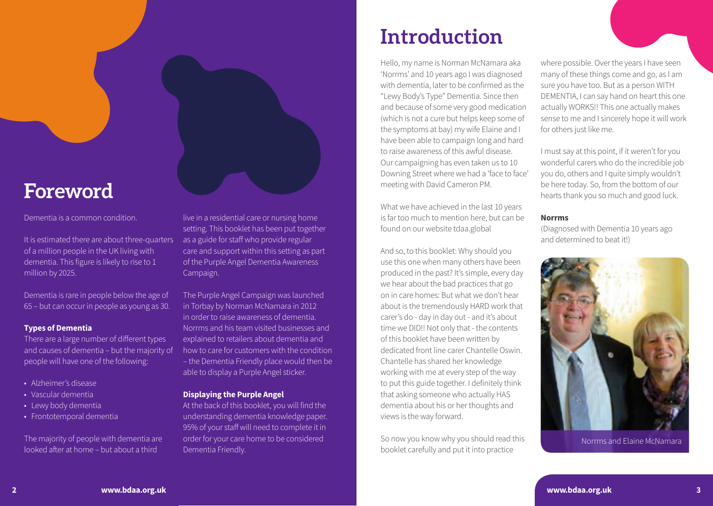# **Introduction**

Hello, my name is Norman McNamara aka 'Norrms' and 10 years ago I was diagnosed with dementia, later to be confirmed as the "Lewy Body's Type" Dementia. Since then and because of some very good medication (which is not a cure but helps keep some of the symptoms at bay) my wife Elaine and I have been able to campaign long and hard to raise awareness of this awful disease. Our campaigning has even taken us to 10 Downing Street where we had a 'face to face' meeting with David Cameron PM.

What we have achieved in the last 10 years is far too much to mention here, but can be found on our website tdaa.global

And so, to this booklet: Why should you use this one when many others have been produced in the past? It's simple, every day we hear about the bad practices that go on in care homes: But what we don't hear about is the tremendously HARD work that carer's do - day in day out - and it's about time we DID!! Not only that - the contents of this booklet have been written by dedicated front line carer Chantelle Oswin. Chantelle has shared her knowledge working with me at every step of the way to put this guide together. I definitely think that asking someone who actually HAS dementia about his or her thoughts and views is the way forward.

So now you know why you should read this booklet carefully and put it into practice

where possible. Over the years I have seen many of these things come and go, as I am sure you have too. But as a person WITH DEMENTIA, I can say hand on heart this one actually WORKS!! This one actually makes sense to me and I sincerely hope it will work for others just like me.

I must say at this point, if it weren't for you wonderful carers who do the incredible job you do, others and I quite simply wouldn't be here today. So, from the bottom of our hearts thank you so much and good luck.

#### **Norrms**

(Diagnosed with Dementia 10 years ago and determined to beat it!)



Norrms and Elaine McNamara

# **Foreword**

### Dementia is a common condition.

It is estimated there are about three-quarters of a million people in the UK living with dementia. This figure is likely to rise to 1 million by 2025.

Dementia is rare in people below the age of 65 – but can occur in people as young as 30.

# **Types of Dementia**

There are a large number of different types and causes of dementia – but the majority of people will have one of the following:

- Alzheimer's disease
- Vascular dementia
- Lewy body dementia
- Frontotemporal dementia

The majority of people with dementia are looked after at home – but about a third

live in a residential care or nursing home setting. This booklet has been put together as a guide for staff who provide regular care and support within this setting as part of the Purple Angel Dementia Awareness Campaign.

The Purple Angel Campaign was launched in Torbay by Norman McNamara in 2012 in order to raise awareness of dementia. Norrms and his team visited businesses and explained to retailers about dementia and how to care for customers with the condition – the Dementia Friendly place would then be able to display a Purple Angel sticker.

# **Displaying the Purple Angel**

At the back of this booklet, you will find the understanding dementia knowledge paper. 95% of your staff will need to complete it in order for your care home to be considered Dementia Friendly.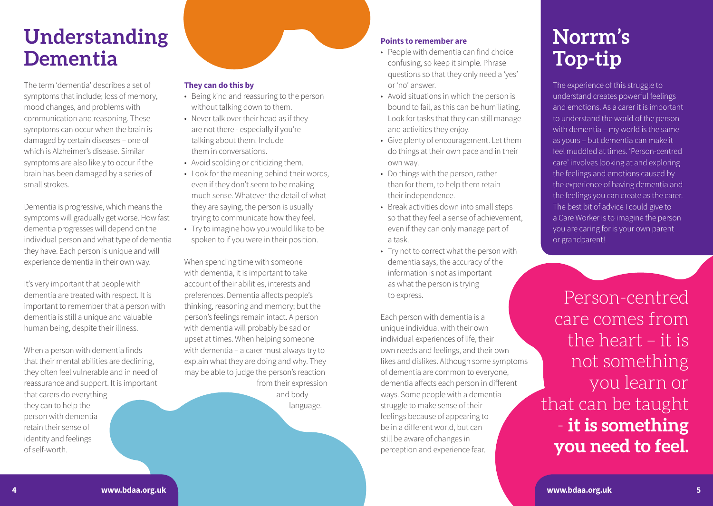# **Understanding Dementia**

The term 'dementia' describes a set of symptoms that include; loss of memory, mood changes, and problems with communication and reasoning. These symptoms can occur when the brain is damaged by certain diseases – one of which is Alzheimer's disease. Similar symptoms are also likely to occur if the brain has been damaged by a series of small strokes.

Dementia is progressive, which means the symptoms will gradually get worse. How fast dementia progresses will depend on the individual person and what type of dementia they have. Each person is unique and will experience dementia in their own way.

It's very important that people with dementia are treated with respect. It is important to remember that a person with dementia is still a unique and valuable human being, despite their illness.

When a person with dementia finds that their mental abilities are declining, they often feel vulnerable and in need of reassurance and support. It is important that carers do everything they can to help the person with dementia retain their sense of identity and feelings of self-worth.

# **They can do this by**

- Being kind and reassuring to the person without talking down to them.
- Never talk over their head as if they are not there - especially if you're talking about them. Include them in conversations.
- Avoid scolding or criticizing them.
- Look for the meaning behind their words, even if they don't seem to be making much sense. Whatever the detail of what they are saying, the person is usually trying to communicate how they feel.
- Try to imagine how you would like to be spoken to if you were in their position.

When spending time with someone with dementia, it is important to take account of their abilities, interests and preferences. Dementia affects people's thinking, reasoning and memory; but the person's feelings remain intact. A person with dementia will probably be sad or upset at times. When helping someone with dementia – a carer must always try to explain what they are doing and why. They may be able to judge the person's reaction from their expression and body language.

# **Points to remember are**

- People with dementia can find choice confusing, so keep it simple. Phrase questions so that they only need a 'yes' or 'no' answer.
- Avoid situations in which the person is bound to fail, as this can be humiliating. Look for tasks that they can still manage and activities they enjoy.
- Give plenty of encouragement. Let them do things at their own pace and in their own way.
- Do things with the person, rather than for them, to help them retain their independence.
- Break activities down into small steps so that they feel a sense of achievement, even if they can only manage part of a task.
- Try not to correct what the person with dementia says, the accuracy of the information is not as important as what the person is trying to express.

Each person with dementia is a unique individual with their own individual experiences of life, their own needs and feelings, and their own likes and dislikes. Although some symptoms of dementia are common to everyone, dementia affects each person in different ways. Some people with a dementia struggle to make sense of their feelings because of appearing to be in a different world, but can still be aware of changes in perception and experience fear.

# **Norrm's Top-tip**

The experience of this struggle to understand creates powerful feelings and emotions. As a carer it is important to understand the world of the person with dementia – my world is the same as yours – but dementia can make it feel muddled at times. 'Person-centred care' involves looking at and exploring the feelings and emotions caused by the experience of having dementia and the feelings you can create as the carer. The best bit of advice I could give to a Care Worker is to imagine the person you are caring for is your own parent or grandparent!

Person-centred care comes from the heart – it is not something you learn or that can be taught - **it is something you need to feel.**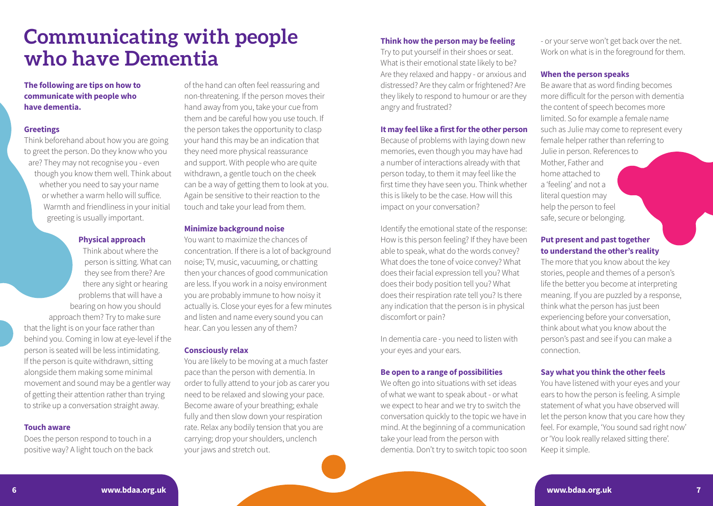# **Communicating with people who have Dementia**

### **The following are tips on how to communicate with people who have dementia.**

#### **Greetings**

Think beforehand about how you are going to greet the person. Do they know who you are? They may not recognise you - even though you know them well. Think about whether you need to say your name or whether a warm hello will suffice. Warmth and friendliness in your initial greeting is usually important.

#### **Physical approach**

Think about where the person is sitting. What can they see from there? Are there any sight or hearing problems that will have a bearing on how you should approach them? Try to make sure that the light is on your face rather than behind you. Coming in low at eye-level if the person is seated will be less intimidating. If the person is quite withdrawn, sitting alongside them making some minimal movement and sound may be a gentler way of getting their attention rather than trying to strike up a conversation straight away.

#### **Touch aware**

Does the person respond to touch in a positive way? A light touch on the back

of the hand can often feel reassuring and non-threatening. If the person moves their hand away from you, take your cue from them and be careful how you use touch. If the person takes the opportunity to clasp your hand this may be an indication that they need more physical reassurance and support. With people who are quite withdrawn, a gentle touch on the cheek can be a way of getting them to look at you. Again be sensitive to their reaction to the touch and take your lead from them.

### **Minimize background noise**

You want to maximize the chances of concentration. If there is a lot of background noise; TV, music, vacuuming, or chatting then your chances of good communication are less. If you work in a noisy environment you are probably immune to how noisy it actually is. Close your eyes for a few minutes and listen and name every sound you can hear. Can you lessen any of them?

#### **Consciously relax**

You are likely to be moving at a much faster pace than the person with dementia. In order to fully attend to your job as carer you need to be relaxed and slowing your pace. Become aware of your breathing; exhale fully and then slow down your respiration rate. Relax any bodily tension that you are carrying; drop your shoulders, unclench your jaws and stretch out.

### **Think how the person may be feeling**

Try to put yourself in their shoes or seat. What is their emotional state likely to be? Are they relaxed and happy - or anxious and distressed? Are they calm or frightened? Are they likely to respond to humour or are they angry and frustrated?

#### **It may feel like a first for the other person**

Because of problems with laying down new memories, even though you may have had a number of interactions already with that person today, to them it may feel like the first time they have seen you. Think whether this is likely to be the case. How will this impact on your conversation?

Identify the emotional state of the response: How is this person feeling? If they have been able to speak, what do the words convey? What does the tone of voice convey? What does their facial expression tell you? What does their body position tell you? What does their respiration rate tell you? Is there any indication that the person is in physical discomfort or pain?

In dementia care - you need to listen with your eyes and your ears.

#### **Be open to a range of possibilities**

We often go into situations with set ideas of what we want to speak about - or what we expect to hear and we try to switch the conversation quickly to the topic we have in mind. At the beginning of a communication take your lead from the person with dementia. Don't try to switch topic too soon

- or your serve won't get back over the net. Work on what is in the foreground for them.

#### **When the person speaks**

Be aware that as word finding becomes more difficult for the person with dementia the content of speech becomes more limited. So for example a female name such as Julie may come to represent every female helper rather than referring to Julie in person. References to Mother, Father and home attached to a 'feeling' and not a literal question may help the person to feel safe, secure or belonging.

# **Put present and past together to understand the other's reality**

The more that you know about the key stories, people and themes of a person's life the better you become at interpreting meaning. If you are puzzled by a response, think what the person has just been experiencing before your conversation, think about what you know about the person's past and see if you can make a connection.

### **Say what you think the other feels**

You have listened with your eyes and your ears to how the person is feeling. A simple statement of what you have observed will let the person know that you care how they feel. For example, 'You sound sad right now' or 'You look really relaxed sitting there'. Keep it simple.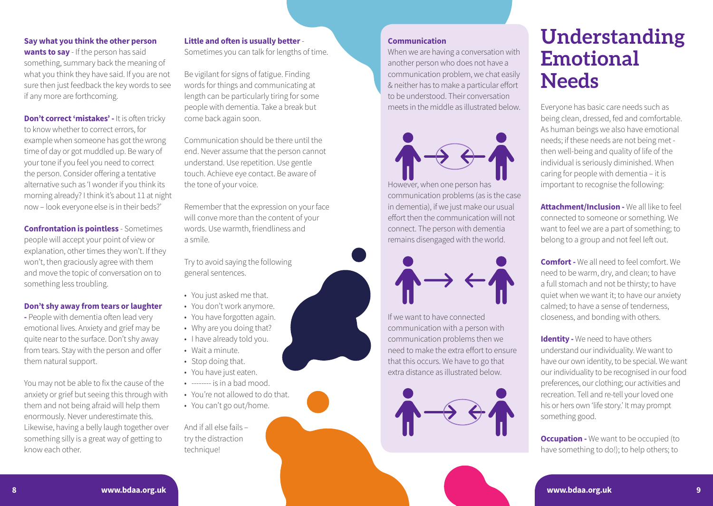# **Say what you think the other person wants to say** - If the person has said something, summary back the meaning of what you think they have said. If you are not sure then just feedback the key words to see

if any more are forthcoming.

**Don't correct 'mistakes' - It is often tricky** to know whether to correct errors, for example when someone has got the wrong time of day or got muddled up. Be wary of your tone if you feel you need to correct the person. Consider offering a tentative alternative such as 'I wonder if you think its morning already? I think it's about 11 at night now – look everyone else is in their beds?'

**Confrontation is pointless** - Sometimes people will accept your point of view or explanation, other times they won't. If they won't, then graciously agree with them and move the topic of conversation on to something less troubling.

#### **Don't shy away from tears or laughter**

**-** People with dementia often lead very emotional lives. Anxiety and grief may be quite near to the surface. Don't shy away from tears. Stay with the person and offer them natural support.

You may not be able to fix the cause of the anxiety or grief but seeing this through with them and not being afraid will help them enormously. Never underestimate this. Likewise, having a belly laugh together over something silly is a great way of getting to know each other.

# **Little and often is usually better** -

Sometimes you can talk for lengths of time.

Be vigilant for signs of fatigue. Finding words for things and communicating at length can be particularly tiring for some people with dementia. Take a break but come back again soon.

Communication should be there until the end. Never assume that the person cannot understand. Use repetition. Use gentle touch. Achieve eye contact. Be aware of the tone of your voice.

Remember that the expression on your face will conve more than the content of your words. Use warmth, friendliness and a smile.

Try to avoid saying the following general sentences.

- You just asked me that.
- You don't work anymore.
- You have forgotten again.
- Why are you doing that?
- I have already told you.
- Wait a minute.
- Stop doing that.
- You have just eaten.
- -------- is in a bad mood.
- You're not allowed to do that.
- You can't go out/home.

And if all else fails – try the distraction technique!

#### **Communication**

When we are having a conversation with another person who does not have a communication problem, we chat easily & neither has to make a particular effort to be understood. Their conversation meets in the middle as illustrated below.



However, when one person has communication problems (as is the case in dementia), if we just make our usual effort then the communication will not connect. The person with dementia remains disengaged with the world.



If we want to have connected communication with a person with communication problems then we need to make the extra effort to ensure that this occurs. We have to go that extra distance as illustrated below.



# **Understanding Emotional Needs**

Everyone has basic care needs such as being clean, dressed, fed and comfortable. As human beings we also have emotional needs; if these needs are not being met then well-being and quality of life of the individual is seriously diminished. When caring for people with dementia – it is important to recognise the following:

**Attachment/Inclusion -** We all like to feel connected to someone or something. We want to feel we are a part of something; to belong to a group and not feel left out.

**Comfort -** We all need to feel comfort. We need to be warm, dry, and clean; to have a full stomach and not be thirsty; to have quiet when we want it; to have our anxiety calmed; to have a sense of tenderness, closeness, and bonding with others.

**Identity -** We need to have others understand our individuality. We want to have our own identity, to be special. We want our individuality to be recognised in our food preferences, our clothing; our activities and recreation. Tell and re-tell your loved one his or hers own 'life story.' It may prompt something good.

**Occupation -** We want to be occupied (to have something to do!); to help others; to

**8 www.bdaa.org.uk**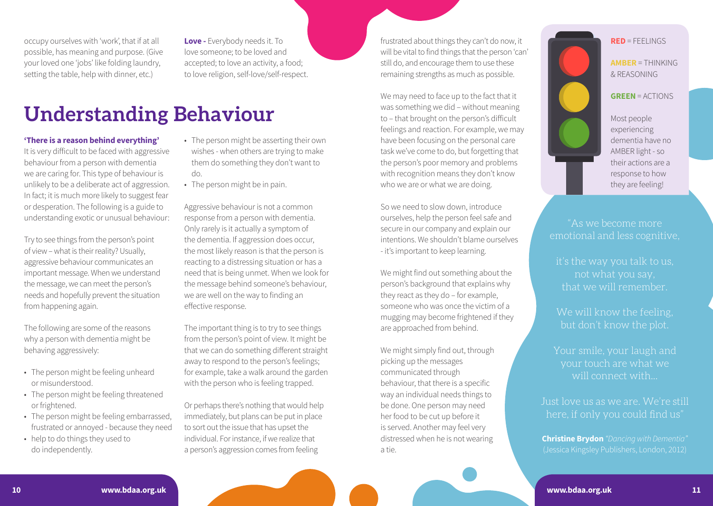occupy ourselves with 'work', that if at all possible, has meaning and purpose. (Give your loved one 'jobs' like folding laundry, setting the table, help with dinner, etc.)

**Love -** Everybody needs it. To love someone; to be loved and accepted; to love an activity, a food; to love religion, self-love/self-respect.

# **Understanding Behaviour**

### **'There is a reason behind everything'**

It is very difficult to be faced with aggressive behaviour from a person with dementia we are caring for. This type of behaviour is unlikely to be a deliberate act of aggression. In fact; it is much more likely to suggest fear or desperation. The following is a guide to understanding exotic or unusual behaviour:

Try to see things from the person's point of view – what is their reality? Usually, aggressive behaviour communicates an important message. When we understand the message, we can meet the person's needs and hopefully prevent the situation from happening again.

The following are some of the reasons why a person with dementia might be behaving aggressively:

- The person might be feeling unheard or misunderstood.
- The person might be feeling threatened or frightened.
- The person might be feeling embarrassed, frustrated or annoyed - because they need
- help to do things they used to do independently.
- The person might be asserting their own wishes - when others are trying to make them do something they don't want to do.
- The person might be in pain.

Aggressive behaviour is not a common response from a person with dementia. Only rarely is it actually a symptom of the dementia. If aggression does occur, the most likely reason is that the person is reacting to a distressing situation or has a need that is being unmet. When we look for the message behind someone's behaviour, we are well on the way to finding an effective response.

The important thing is to try to see things from the person's point of view. It might be that we can do something different straight away to respond to the person's feelings; for example, take a walk around the garden with the person who is feeling trapped.

Or perhaps there's nothing that would help immediately, but plans can be put in place to sort out the issue that has upset the individual. For instance, if we realize that a person's aggression comes from feeling

frustrated about things they can't do now, it will be vital to find things that the person 'can' still do, and encourage them to use these remaining strengths as much as possible.

We may need to face up to the fact that it was something we did – without meaning to – that brought on the person's difficult feelings and reaction. For example, we may have been focusing on the personal care task we've come to do, but forgetting that the person's poor memory and problems with recognition means they don't know who we are or what we are doing.

So we need to slow down, introduce ourselves, help the person feel safe and secure in our company and explain our intentions. We shouldn't blame ourselves - it's important to keep learning.

We might find out something about the person's background that explains why they react as they do – for example, someone who was once the victim of a mugging may become frightened if they are approached from behind.

We might simply find out, through picking up the messages communicated through behaviour, that there is a specific way an individual needs things to be done. One person may need her food to be cut up before it is served. Another may feel very distressed when he is not wearing a tie.



"As we become more emotional and less cognitive,

it's the way you talk to us, that we will remember.

We will know the feeling.

Your smile, your laugh and your touch are what we will connect with...

Just love us as we are. We're still here, if only you could find us"

**Christine Brydon** *"Dancing with Dementia"*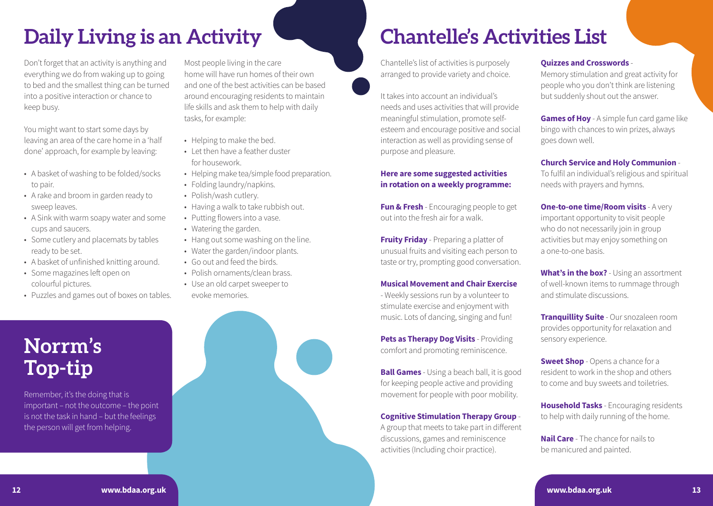# **Daily Living is an Activity**

Don't forget that an activity is anything and everything we do from waking up to going to bed and the smallest thing can be turned into a positive interaction or chance to keep busy.

You might want to start some days by leaving an area of the care home in a 'half done' approach, for example by leaving:

- A basket of washing to be folded/socks to pair.
- A rake and broom in garden ready to sweep leaves.
- A Sink with warm soapy water and some cups and saucers.
- Some cutlery and placemats by tables ready to be set.
- A basket of unfinished knitting around.
- Some magazines left open on colourful pictures.
- Puzzles and games out of boxes on tables.

# **Norrm's Top-tip**

Remember, it's the doing that is important – not the outcome – the point is not the task in hand – but the feelings the person will get from helping.

Most people living in the care home will have run homes of their own and one of the best activities can be based around encouraging residents to maintain life skills and ask them to help with daily tasks, for example:

- Helping to make the bed.
- Let then have a feather duster for housework.
- Helping make tea/simple food preparation.
- Folding laundry/napkins.
- Polish/wash cutlery.
- Having a walk to take rubbish out.
- Putting flowers into a vase.
- Watering the garden.
- Hang out some washing on the line.
- Water the garden/indoor plants.
- Go out and feed the birds.
- Polish ornaments/clean brass
- Use an old carpet sweeper to
- evoke memories.



# **Chantelle's Activities List**

Chantelle's list of activities is purposely arranged to provide variety and choice.

It takes into account an individual's needs and uses activities that will provide meaningful stimulation, promote selfesteem and encourage positive and social interaction as well as providing sense of purpose and pleasure.

# **Here are some suggested activities in rotation on a weekly programme:**

**Fun & Fresh** - Encouraging people to get out into the fresh air for a walk.

**Fruity Friday** - Preparing a platter of unusual fruits and visiting each person to taste or try, prompting good conversation.

### **Musical Movement and Chair Exercise**

- Weekly sessions run by a volunteer to stimulate exercise and enjoyment with music. Lots of dancing, singing and fun!

**Pets as Therapy Dog Visits - Providing** comfort and promoting reminiscence.

**Ball Games** - Using a beach ball, it is good for keeping people active and providing movement for people with poor mobility.

**Cognitive Stimulation Therapy Group** - A group that meets to take part in different discussions, games and reminiscence activities (Including choir practice).

# **Quizzes and Crosswords** -

Memory stimulation and great activity for people who you don't think are listening but suddenly shout out the answer.

**Games of Hoy** - A simple fun card game like bingo with chances to win prizes, always goes down well.

### **Church Service and Holy Communion** -

To fulfil an individual's religious and spiritual needs with prayers and hymns.

**One-to-one time/Room visits** - A very important opportunity to visit people who do not necessarily join in group activities but may enjoy something on a one-to-one basis.

**What's in the box?** - Using an assortment of well-known items to rummage through and stimulate discussions.

**Tranquillity Suite** - Our snozaleen room provides opportunity for relaxation and sensory experience.

**Sweet Shop** - Opens a chance for a resident to work in the shop and others to come and buy sweets and toiletries.

**Household Tasks** - Encouraging residents to help with daily running of the home.

**Nail Care** - The chance for nails to be manicured and painted.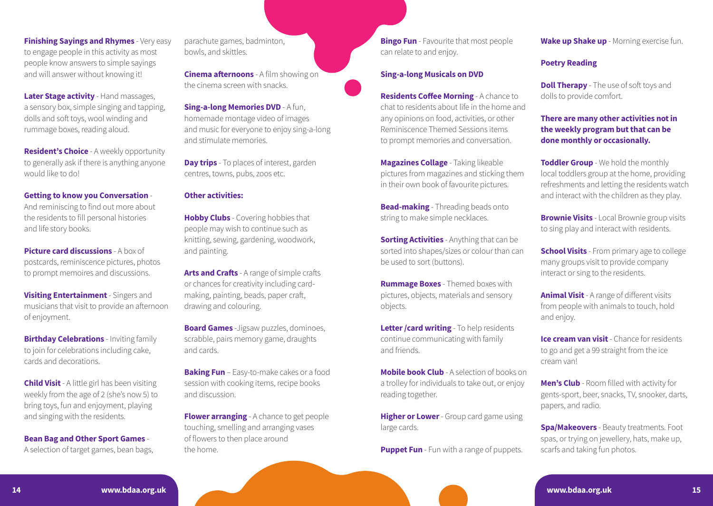**Finishing Sayings and Rhymes** - Very easy to engage people in this activity as most people know answers to simple sayings and will answer without knowing it!

**Later Stage activity** - Hand massages, a sensory box, simple singing and tapping, dolls and soft toys, wool winding and rummage boxes, reading aloud.

**Resident's Choice** - A weekly opportunity to generally ask if there is anything anyone would like to do!

#### **Getting to know you Conversation** -

And reminiscing to find out more about the residents to fill personal histories and life story books.

**Picture card discussions - A box of** postcards, reminiscence pictures, photos to prompt memoires and discussions.

**Visiting Entertainment** - Singers and musicians that visit to provide an afternoon of enjoyment.

**Birthday Celebrations** - Inviting family to join for celebrations including cake, cards and decorations.

**Child Visit** - A little girl has been visiting weekly from the age of 2 (she's now 5) to bring toys, fun and enjoyment, playing and singing with the residents.

**Bean Bag and Other Sport Games** -

A selection of target games, bean bags,

parachute games, badminton, bowls, and skittles.

**Cinema afternoons** - A film showing on the cinema screen with snacks.

**Sing-a-long Memories DVD - A fun.** homemade montage video of images and music for everyone to enjoy sing-a-long and stimulate memories.

**Day trips** - To places of interest, garden centres, towns, pubs, zoos etc.

#### **Other activities:**

**Hobby Clubs** - Covering hobbies that people may wish to continue such as knitting, sewing, gardening, woodwork, and painting.

**Arts and Crafts** - A range of simple crafts or chances for creativity including cardmaking, painting, beads, paper craft, drawing and colouring.

**Board Games** -Jigsaw puzzles, dominoes, scrabble, pairs memory game, draughts and cards.

**Baking Fun** – Easy-to-make cakes or a food session with cooking items, recipe books and discussion.

**Flower arranging** - A chance to get people touching, smelling and arranging vases of flowers to then place around the home.

**Bingo Fun** - Favourite that most people can relate to and enjoy.

#### **Sing-a-long Musicals on DVD**

**Residents Coffee Morning** - A chance to chat to residents about life in the home and any opinions on food, activities, or other Reminiscence Themed Sessions items to prompt memories and conversation.

**Magazines Collage** - Taking likeable pictures from magazines and sticking them in their own book of favourite pictures.

**Bead-making** - Threading beads onto string to make simple necklaces.

**Sorting Activities** - Anything that can be sorted into shapes/sizes or colour than can be used to sort (buttons).

**Rummage Boxes** - Themed boxes with pictures, objects, materials and sensory objects.

**Letter /card writing** - To help residents continue communicating with family and friends.

**Mobile book Club** - A selection of books on a trolley for individuals to take out, or enjoy reading together.

**Higher or Lower** - Group card game using large cards.

**Puppet Fun** - Fun with a range of puppets.

**Wake up Shake up** - Morning exercise fun.

### **Poetry Reading**

**Doll Therapy** - The use of soft toys and dolls to provide comfort.

**There are many other activities not in the weekly program but that can be done monthly or occasionally.**

**Toddler Group** - We hold the monthly local toddlers group at the home, providing refreshments and letting the residents watch and interact with the children as they play.

**Brownie Visits** - Local Brownie group visits to sing play and interact with residents.

**School Visits** - From primary age to college many groups visit to provide company interact or sing to the residents.

**Animal Visit** - A range of different visits from people with animals to touch, hold and enjoy.

**Ice cream van visit** - Chance for residents to go and get a 99 straight from the ice cream van!

**Men's Club** - Room filled with activity for gents-sport, beer, snacks, TV, snooker, darts, papers, and radio.

**Spa/Makeovers** - Beauty treatments. Foot spas, or trying on jewellery, hats, make up, scarfs and taking fun photos.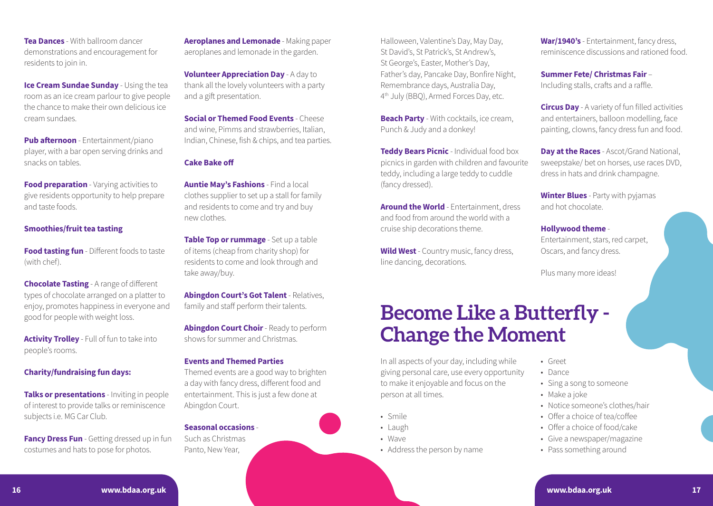**Tea Dances** - With ballroom dancer demonstrations and encouragement for residents to join in.

**Ice Cream Sundae Sunday - Using the tea** room as an ice cream parlour to give people the chance to make their own delicious ice cream sundaes.

**Pub afternoon** - Entertainment/piano player, with a bar open serving drinks and snacks on tables.

**Food preparation** - Varying activities to give residents opportunity to help prepare and taste foods.

### **Smoothies/fruit tea tasting**

**Food tasting fun** - Different foods to taste (with chef).

**Chocolate Tasting** - A range of different types of chocolate arranged on a platter to enjoy, promotes happiness in everyone and good for people with weight loss.

**Activity Trolley** - Full of fun to take into people's rooms.

### **Charity/fundraising fun days:**

**Talks or presentations** - Inviting in people of interest to provide talks or reminiscence subjects i.e. MG Car Club.

**Fancy Dress Fun** - Getting dressed up in fun costumes and hats to pose for photos.

**Aeroplanes and Lemonade** - Making paper aeroplanes and lemonade in the garden.

**Volunteer Appreciation Day** - A day to thank all the lovely volunteers with a party and a gift presentation.

**Social or Themed Food Events - Cheese** and wine, Pimms and strawberries, Italian, Indian, Chinese, fish & chips, and tea parties.

#### **Cake Bake off**

**Auntie May's Fashions** - Find a local clothes supplier to set up a stall for family and residents to come and try and buy new clothes.

**Table Top or rummage** - Set up a table of items (cheap from charity shop) for residents to come and look through and take away/buy.

**Abingdon Court's Got Talent** - Relatives, family and staff perform their talents.

**Abingdon Court Choir** - Ready to perform shows for summer and Christmas.

#### **Events and Themed Parties**

Themed events are a good way to brighten a day with fancy dress, different food and entertainment. This is just a few done at Abingdon Court.

### **Seasonal occasions** -

Such as Christmas Panto, New Year,

Halloween, Valentine's Day, May Day, St David's, St Patrick's, St Andrew's, St George's, Easter, Mother's Day, Father's day, Pancake Day, Bonfire Night, Remembrance days, Australia Day, 4th July (BBQ), Armed Forces Day, etc.

**Beach Party** - With cocktails, ice cream, Punch & Judy and a donkey!

**Teddy Bears Picnic** - Individual food box picnics in garden with children and favourite teddy, including a large teddy to cuddle (fancy dressed).

**Around the World** - Entertainment, dress and food from around the world with a cruise ship decorations theme.

**Wild West** - Country music, fancy dress, line dancing, decorations.

# **Become Like a Butterfly - Change the Moment**

In all aspects of your day, including while giving personal care, use every opportunity to make it enjoyable and focus on the person at all times.

- Smile
- Laugh
- Wave
- Address the person by name

**War/1940's** - Entertainment, fancy dress, reminiscence discussions and rationed food.

**Summer Fete/ Christmas Fair** – Including stalls, crafts and a raffle.

**Circus Day** - A variety of fun filled activities and entertainers, balloon modelling, face painting, clowns, fancy dress fun and food.

**Day at the Races** - Ascot/Grand National, sweepstake/ bet on horses, use races DVD, dress in hats and drink champagne.

**Winter Blues** - Party with pyjamas and hot chocolate.

### **Hollywood theme** -

Entertainment, stars, red carpet, Oscars, and fancy dress.

Plus many more ideas!

- Greet
- Dance
- Sing a song to someone
- Make a joke
- Notice someone's clothes/hair
- Offer a choice of tea/coffee
- Offer a choice of food/cake
- Give a newspaper/magazine
- Pass something around